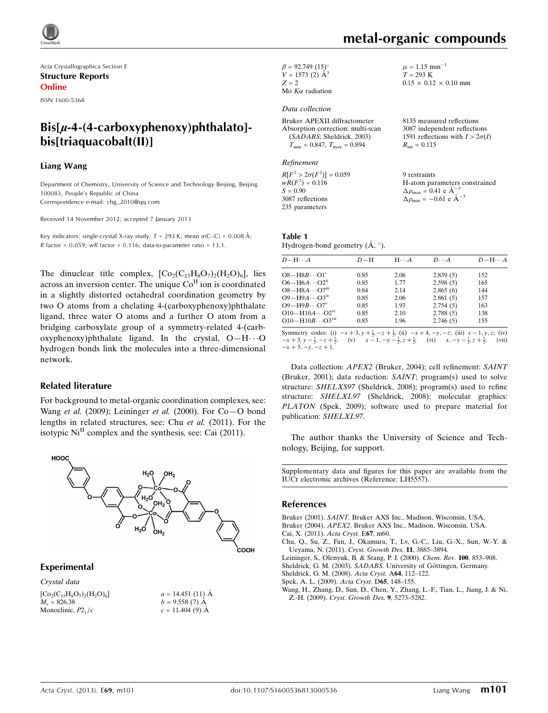

Acta Crystallographica Section E Structure Reports Online

ISSN 1600-5368

# $Bis[\mu-4-(4-carboxy)$ phthalato]bis[triaquacobalt(II)]

#### Liang Wang

Department of Chemistry, University of Science and Technology Beijing, Beijing 100083, People's Republic of China Correspondence e-mail: [chg\\_2010@qq.com](https://scripts.iucr.org/cgi-bin/cr.cgi?rm=pdfbb&cnor=lh5557&bbid=BB9)

Received 14 November 2012; accepted 7 January 2013

Key indicators: single-crystal X-ray study;  $T = 293$  K; mean  $\sigma$ (C–C) = 0.008 Å; R factor =  $0.059$ ; wR factor =  $0.116$ ; data-to-parameter ratio =  $13.1$ .

The dinuclear title complex,  $[Co_2(C_{15}H_8O_7)_2(H_2O)_6]$ , lies across an inversion center. The unique  $Co<sup>H</sup>$  ion is coordinated in a slightly distorted octahedral coordination geometry by two O atoms from a chelating 4-(carboxyphenoxy)phthalate ligand, three water O atoms and a further O atom from a bridging carboxylate group of a symmetry-related 4-(carb $oxyphenoxy)$ phthalate ligand. In the crystal,  $O-H \cdot \cdot \cdot O$ hydrogen bonds link the molecules into a three-dimensional network.

#### Related literature

For background to metal-organic coordination complexes, see: Wang *et al.* (2009); Leininger *et al.* (2000). For  $Co-O$  bond lengths in related structures, see: Chu et al. (2011). For the isotypic  $Ni<sup>II</sup>$  complex and the synthesis, see: Cai (2011).



#### Experimental

Crystal data  $[Co_2(C_{15}H_8O_7)_2(H_2O)_6]$  $M<sub>r</sub> = 826.38$ Monoclinic,  $P2<sub>1</sub>/c$ 

 $a = 14.451(11)$  Å  $b = 9.558(7)$  Å  $c = 11.404(9)$  Å

 $\beta = 92.749 (15)$ °  $V = 1573$  (2)  $\AA^3$  $Z = 2$ Mo  $K\alpha$  radiation

#### Data collection

Bruker APEXII diffractometer Absorption correction: multi-scan (SADABS; Sheldrick, 2003)  $T_{\text{min}} = 0.847, T_{\text{max}} = 0.894$ 

#### Refinement

 $R[F^2 > 2\sigma(F^2)] = 0.059$  $wR(F^2) = 0.116$  $S = 0.90$ 3087 reflections 235 parameters

 $0.15 \times 0.12 \times 0.10$  mm

 $\mu = 1.15$  mm<sup>-1</sup>  $T = 293 \text{ K}$ 

metal-organic compounds

8135 measured reflections 3087 independent reflections 1591 reflections with  $I > 2\sigma(I)$  $R_{\text{int}} = 0.115$ 

9 restraints H-atom parameters constrained  $\Delta \rho_{\text{max}} = 0.41 \text{ e A}^{-3}$  $\Delta \rho_{\text{min}} = -0.61$  e  $\AA^{-3}$ 

| Table 1                                       |  |
|-----------------------------------------------|--|
| Hydrogen-bond geometry $(\check{A}, \circ)$ . |  |

| $D - H \cdots A$                                                                                                                                                                                                                                                                                    | $D-H$ | $H \cdot \cdot \cdot A$ | $D\cdot\cdot\cdot A$ | $D - H \cdots A$ |
|-----------------------------------------------------------------------------------------------------------------------------------------------------------------------------------------------------------------------------------------------------------------------------------------------------|-------|-------------------------|----------------------|------------------|
| $O8 - H8B \cdots O1^i$                                                                                                                                                                                                                                                                              | 0.85  | 2.06                    | 2.839(5)             | 152              |
| $O6 - H6A \cdots O2n$                                                                                                                                                                                                                                                                               | 0.85  | 1.77                    | 2.598(5)             | 165              |
| $O8 - H8A \cdots O7$ <sup>iii</sup>                                                                                                                                                                                                                                                                 | 0.84  | 2.14                    | 2.865(6)             | 144              |
| $O9 - H9A \cdots O3^{IV}$                                                                                                                                                                                                                                                                           | 0.85  | 2.06                    | 2.861(5)             | 157              |
| $O9 - H9B \cdots O7^v$                                                                                                                                                                                                                                                                              | 0.85  | 1.93                    | 2.754(5)             | 163              |
| $O10 - H10A \cdots O2^{vi}$                                                                                                                                                                                                                                                                         | 0.85  | 2.10                    | 2.788(5)             | 138              |
| $O10 - H10B \cdots O3$ <sup>vii</sup>                                                                                                                                                                                                                                                               | 0.85  | 1.96                    | 2.746(5)             | 155              |
| Symmetry codes: (i) $-x+3$ , $y+\frac{1}{2}$ , $-z+\frac{1}{2}$ ; (ii) $-x+4$ , $-y$ , $-z$ ; (iii) $x-1$ , $y$ , $z$ ; (iv)<br>$-x+3$ , $y-\frac{1}{2}$ , $-z+\frac{1}{2}$ ; (v) $x-1$ , $-y-\frac{1}{2}$ , $z+\frac{1}{2}$ ; (vi) $x$ , $-y-\frac{1}{2}$ , $z+\frac{1}{2}$ ;<br>$-x+3, -y, -z+1.$ |       |                         |                      | (vii)            |

Data collection: APEX2 (Bruker, 2004); cell refinement: SAINT (Bruker, 2001); data reduction: SAINT; program(s) used to solve structure: SHELXS97 (Sheldrick, 2008); program(s) used to refine structure: SHELXL97 (Sheldrick, 2008); molecular graphics: PLATON (Spek, 2009); software used to prepare material for publication: SHELXL97.

The author thanks the University of Science and Technology, Beijing, for support.

Supplementary data and figures for this paper are available from the IUCr electronic archives (Reference: LH5557).

#### References

Bruker (2001). SAINT[. Bruker AXS Inc., Madison, Wisconsin, USA.](https://scripts.iucr.org/cgi-bin/cr.cgi?rm=pdfbb&cnor=lh5557&bbid=BB1) Bruker (2004). APEX2[. Bruker AXS Inc., Madison, Wisconsin, USA.](https://scripts.iucr.org/cgi-bin/cr.cgi?rm=pdfbb&cnor=lh5557&bbid=BB2) [Cai, X. \(2011\).](https://scripts.iucr.org/cgi-bin/cr.cgi?rm=pdfbb&cnor=lh5557&bbid=BB3) Acta Cryst. E67, m60.

[Chu, Q., Su, Z., Fan, J., Okamura, T., Lv, G.-C., Liu, G.-X., Sun, W.-Y. &](https://scripts.iucr.org/cgi-bin/cr.cgi?rm=pdfbb&cnor=lh5557&bbid=BB4) [Ueyama, N. \(2011\).](https://scripts.iucr.org/cgi-bin/cr.cgi?rm=pdfbb&cnor=lh5557&bbid=BB4) Cryst. Growth Des. 11, 3885–3894.

- [Leininger, S., Olenyuk, B. & Stang, P. J. \(2000\).](https://scripts.iucr.org/cgi-bin/cr.cgi?rm=pdfbb&cnor=lh5557&bbid=BB5) Chem. Rev. 100, 853–908. Sheldrick, G. M. (2003). SADABS. University of Göttingen, Germany.
- [Sheldrick, G. M. \(2008\).](https://scripts.iucr.org/cgi-bin/cr.cgi?rm=pdfbb&cnor=lh5557&bbid=BB7) Acta Cryst. A64, 112–122.
- [Spek, A. L. \(2009\).](https://scripts.iucr.org/cgi-bin/cr.cgi?rm=pdfbb&cnor=lh5557&bbid=BB8) Acta Cryst. D65, 148–155.
- [Wang, H., Zhang, D., Sun, D., Chen, Y., Zhang, L.-F., Tian, L., Jiang, J. & Ni,](https://scripts.iucr.org/cgi-bin/cr.cgi?rm=pdfbb&cnor=lh5557&bbid=BB9) Z.-H. (2009). [Cryst. Growth Des.](https://scripts.iucr.org/cgi-bin/cr.cgi?rm=pdfbb&cnor=lh5557&bbid=BB9) 9, 5273–5282.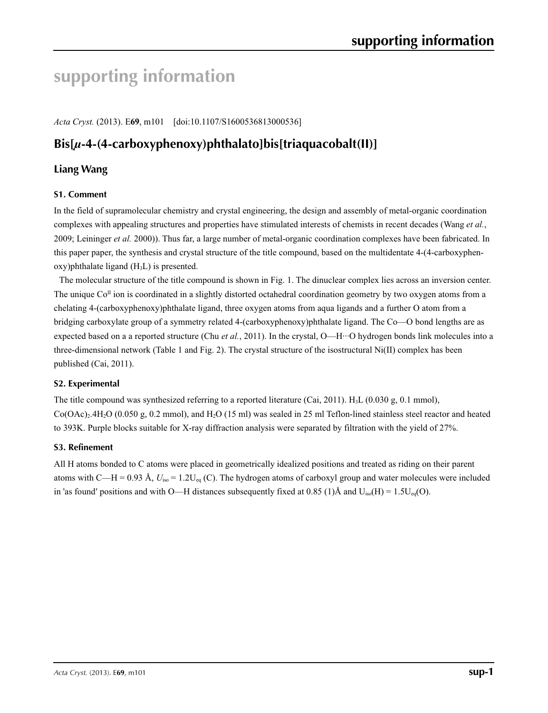# **supporting information**

*Acta Cryst.* (2013). E**69**, m101 [doi:10.1107/S1600536813000536]

# **Bis[***µ***-4-(4-carboxyphenoxy)phthalato]bis[triaquacobalt(II)]**

## **Liang Wang**

#### **S1. Comment S1. Comment**

In the field of supramolecular chemistry and crystal engineering, the design and assembly of metal-organic coordination complexes with appealing structures and properties have stimulated interests of chemists in recent decades (Wang *et al.*, 2009; Leininger *et al.* 2000)). Thus far, a large number of metal-organic coordination complexes have been fabricated. In this paper paper, the synthesis and crystal structure of the title compound, based on the multidentate 4-(4-carboxyphen $oxy$ )phthalate ligand  $(H<sub>3</sub>L)$  is presented.

The molecular structure of the title compound is shown in Fig. 1. The dinuclear complex lies across an inversion center. The unique  $Co<sup>\pi</sup>$  ion is coordinated in a slightly distorted octahedral coordination geometry by two oxygen atoms from a chelating 4-(carboxyphenoxy)phthalate ligand, three oxygen atoms from aqua ligands and a further O atom from a bridging carboxylate group of a symmetry related 4-(carboxyphenoxy)phthalate ligand. The Co—O bond lengths are as expected based on a a reported structure (Chu *et al.*, 2011). In the crystal, O—H···O hydrogen bonds link molecules into a three-dimensional network (Table 1 and Fig. 2). The crystal structure of the isostructural Ni(II) complex has been published (Cai, 2011).

# **S2. Experimental**

The title compound was synthesized referring to a reported literature (Cai, 2011).  $H_3L$  (0.030 g, 0.1 mmol),  $Co(OAc)_2.4H_2O (0.050 g, 0.2 mmol)$ , and  $H_2O (15 ml)$  was sealed in 25 ml Teflon-lined stainless steel reactor and heated to 393K. Purple blocks suitable for X-ray diffraction analysis were separated by filtration with the yield of 27%.

#### S3. Refinement **S3. Refinement**

All H atoms bonded to C atoms were placed in geometrically idealized positions and treated as riding on their parent atoms with C—H = 0.93 Å,  $U_{\text{iso}} = 1.2U_{\text{eq}}$  (C). The hydrogen atoms of carboxyl group and water molecules were included in 'as found' positions and with O—H distances subsequently fixed at 0.85 (1)Å and  $U_{iso}(H) = 1.5U_{eq}(O)$ .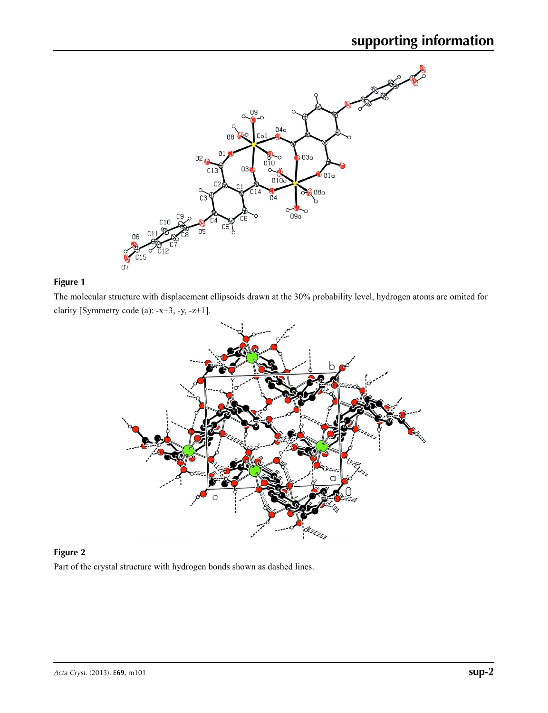

**Figure 1** The molecular structure with displacement ellipsoids drawn at the 30% probability level, hydrogen atoms are omited for clarity [Symmetry code (a): -x+3, -y, -z+1].



**Figure 2** Part of the crystal structure with hydrogen bonds shown as dashed lines.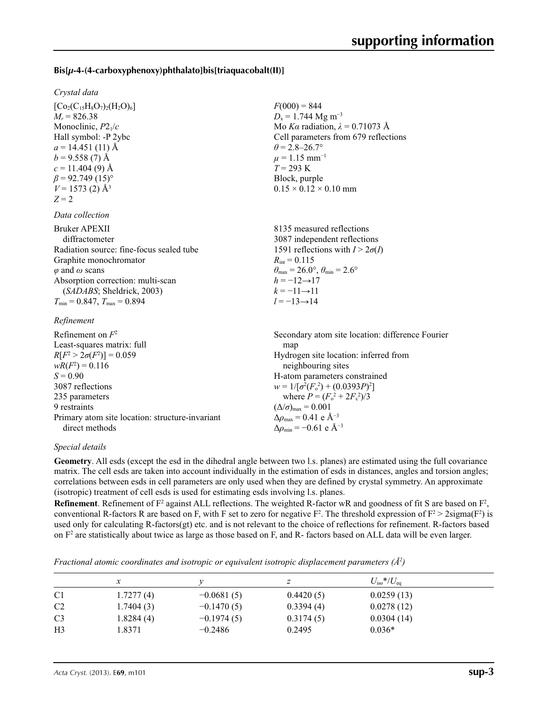### **Bis[***µ***-4-(4-carboxyphenoxy)phthalato]bis[triaquacobalt(II)]**

#### *Crystal data*

 $[C_{02}(C_{15}H_8O_7)_2(H_2O)_6]$  $M_r = 826.38$ Monoclinic, *P*21/*c* Hall symbol: -P 2ybc  $a = 14.451(11)$  Å  $b = 9.558(7)$  Å  $c = 11.404(9)$  Å  $\beta$  = 92.749 (15)<sup>o</sup>  $V = 1573$  (2)  $\AA$ <sup>3</sup>  $Z = 2$ 

#### *Data collection*

| Bruker APEXII                            | 8135 measured reflections                                                  |
|------------------------------------------|----------------------------------------------------------------------------|
| diffractometer                           | 3087 independent reflections                                               |
| Radiation source: fine-focus sealed tube | 1591 reflections with $I > 2\sigma(I)$                                     |
| Graphite monochromator                   | $R_{\text{int}} = 0.115$                                                   |
| $\varphi$ and $\omega$ scans             | $\theta_{\text{max}} = 26.0^{\circ}$ , $\theta_{\text{min}} = 2.6^{\circ}$ |
| Absorption correction: multi-scan        | $h = -12 \rightarrow 17$                                                   |
| (SADABS; Sheldrick, 2003)                | $k=-11\rightarrow11$                                                       |
| $T_{\min}$ = 0.847, $T_{\max}$ = 0.894   | $l = -13 \rightarrow 14$                                                   |
| $\mathbf{D}$ - $\mathbf{C}$              |                                                                            |

#### *Refinement*

| Refinement on $F^2$                             | Secondary atom site location: difference Fourier   |
|-------------------------------------------------|----------------------------------------------------|
| Least-squares matrix: full                      | map                                                |
| $R[F^2 > 2\sigma(F^2)] = 0.059$                 | Hydrogen site location: inferred from              |
| $wR(F^2) = 0.116$                               | neighbouring sites                                 |
| $S = 0.90$                                      | H-atom parameters constrained                      |
| 3087 reflections                                | $w = 1/[\sigma^2(F_0^2) + (0.0393P)^2]$            |
| 235 parameters                                  | where $P = (F_o^2 + 2F_c^2)/3$                     |
| 9 restraints                                    | $(\Delta/\sigma)_{\text{max}} = 0.001$             |
| Primary atom site location: structure-invariant | $\Delta\rho_{\text{max}} = 0.41$ e Å <sup>-3</sup> |
| direct methods                                  | $\Delta \rho_{\rm min} = -0.61$ e Å <sup>-3</sup>  |

#### *Special details*

**Geometry**. All esds (except the esd in the dihedral angle between two l.s. planes) are estimated using the full covariance matrix. The cell esds are taken into account individually in the estimation of esds in distances, angles and torsion angles; correlations between esds in cell parameters are only used when they are defined by crystal symmetry. An approximate (isotropic) treatment of cell esds is used for estimating esds involving l.s. planes.

 $F(000) = 844$  $D_x = 1.744$  Mg m<sup>-3</sup>

 $\theta = 2.8 - 26.7$ °  $\mu$  = 1.15 mm<sup>-1</sup>  $T = 293 \text{ K}$ Block, purple

 $0.15 \times 0.12 \times 0.10$  mm

Mo *Kα* radiation, *λ* = 0.71073 Å Cell parameters from 679 reflections

**Refinement**. Refinement of  $F^2$  against ALL reflections. The weighted R-factor wR and goodness of fit S are based on  $F^2$ , conventional R-factors R are based on F, with F set to zero for negative  $F^2$ . The threshold expression of  $F^2 > 2 \text{sigma}(F^2)$  is used only for calculating R-factors(gt) etc. and is not relevant to the choice of reflections for refinement. R-factors based on  $F<sup>2</sup>$  are statistically about twice as large as those based on F, and R- factors based on ALL data will be even larger.

*Fractional atomic coordinates and isotropic or equivalent isotropic displacement parameters (Å<sup>2</sup>)* 

|                |           |              |           | $U_{\rm iso}$ */ $U_{\rm eq}$ |  |
|----------------|-----------|--------------|-----------|-------------------------------|--|
|                |           |              |           |                               |  |
| C <sub>1</sub> | 1.7277(4) | $-0.0681(5)$ | 0.4420(5) | 0.0259(13)                    |  |
| C <sub>2</sub> | 1.7404(3) | $-0.1470(5)$ | 0.3394(4) | 0.0278(12)                    |  |
| C <sub>3</sub> | 1.8284(4) | $-0.1974(5)$ | 0.3174(5) | 0.0304(14)                    |  |
| H <sub>3</sub> | 1.8371    | $-0.2486$    | 0.2495    | $0.036*$                      |  |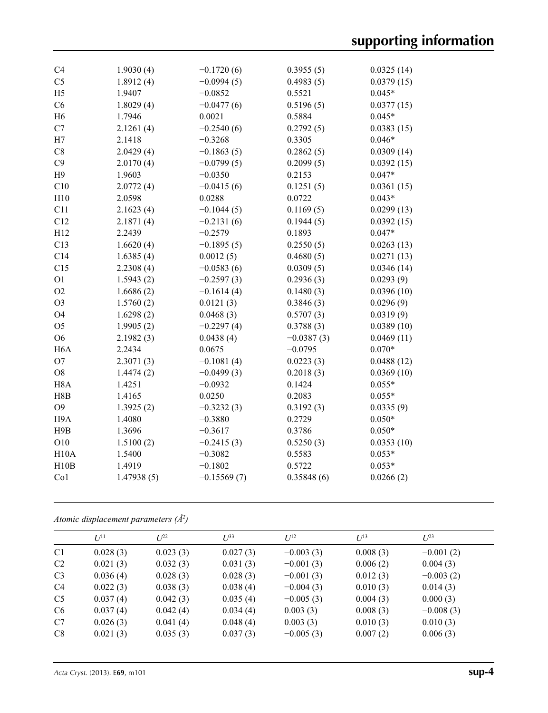| C <sub>4</sub>   | 1.9030(4)  | $-0.1720(6)$  | 0.3955(5)    | 0.0325(14) |
|------------------|------------|---------------|--------------|------------|
| C <sub>5</sub>   | 1.8912(4)  | $-0.0994(5)$  | 0.4983(5)    | 0.0379(15) |
| H <sub>5</sub>   | 1.9407     | $-0.0852$     | 0.5521       | $0.045*$   |
| C6               | 1.8029(4)  | $-0.0477(6)$  | 0.5196(5)    | 0.0377(15) |
| H <sub>6</sub>   | 1.7946     | 0.0021        | 0.5884       | $0.045*$   |
| C7               | 2.1261(4)  | $-0.2540(6)$  | 0.2792(5)    | 0.0383(15) |
| H7               | 2.1418     | $-0.3268$     | 0.3305       | $0.046*$   |
| C8               | 2.0429(4)  | $-0.1863(5)$  | 0.2862(5)    | 0.0309(14) |
| C9               | 2.0170(4)  | $-0.0799(5)$  | 0.2099(5)    | 0.0392(15) |
| H9               | 1.9603     | $-0.0350$     | 0.2153       | $0.047*$   |
| C10              | 2.0772(4)  | $-0.0415(6)$  | 0.1251(5)    | 0.0361(15) |
| H10              | 2.0598     | 0.0288        | 0.0722       | $0.043*$   |
| C11              | 2.1623(4)  | $-0.1044(5)$  | 0.1169(5)    | 0.0299(13) |
| C12              | 2.1871(4)  | $-0.2131(6)$  | 0.1944(5)    | 0.0392(15) |
| H12              | 2.2439     | $-0.2579$     | 0.1893       | $0.047*$   |
| C13              | 1.6620(4)  | $-0.1895(5)$  | 0.2550(5)    | 0.0263(13) |
| C14              | 1.6385(4)  | 0.0012(5)     | 0.4680(5)    | 0.0271(13) |
| C15              | 2.2308(4)  | $-0.0583(6)$  | 0.0309(5)    | 0.0346(14) |
| O <sub>1</sub>   | 1.5943(2)  | $-0.2597(3)$  | 0.2936(3)    | 0.0293(9)  |
| O2               | 1.6686(2)  | $-0.1614(4)$  | 0.1480(3)    | 0.0396(10) |
| O <sub>3</sub>   | 1.5760(2)  | 0.0121(3)     | 0.3846(3)    | 0.0296(9)  |
| O <sub>4</sub>   | 1.6298(2)  | 0.0468(3)     | 0.5707(3)    | 0.0319(9)  |
| O <sub>5</sub>   | 1.9905(2)  | $-0.2297(4)$  | 0.3788(3)    | 0.0389(10) |
| O <sub>6</sub>   | 2.1982(3)  | 0.0438(4)     | $-0.0387(3)$ | 0.0469(11) |
| H <sub>6</sub> A | 2.2434     | 0.0675        | $-0.0795$    | $0.070*$   |
| O <sub>7</sub>   | 2.3071(3)  | $-0.1081(4)$  | 0.0223(3)    | 0.0488(12) |
| O <sub>8</sub>   | 1.4474(2)  | $-0.0499(3)$  | 0.2018(3)    | 0.0369(10) |
| H <sub>8</sub> A | 1.4251     | $-0.0932$     | 0.1424       | $0.055*$   |
| H8B              | 1.4165     | 0.0250        | 0.2083       | $0.055*$   |
| O <sub>9</sub>   | 1.3925(2)  | $-0.3232(3)$  | 0.3192(3)    | 0.0335(9)  |
| H9A              | 1.4080     | $-0.3880$     | 0.2729       | $0.050*$   |
| H9B              | 1.3696     | $-0.3617$     | 0.3786       | $0.050*$   |
| O10              | 1.5100(2)  | $-0.2415(3)$  | 0.5250(3)    | 0.0353(10) |
| H10A             | 1.5400     | $-0.3082$     | 0.5583       | $0.053*$   |
| H10B             | 1.4919     | $-0.1802$     | 0.5722       | $0.053*$   |
| Co1              | 1.47938(5) | $-0.15569(7)$ | 0.35848(6)   | 0.0266(2)  |
|                  |            |               |              |            |

*Atomic displacement parameters (Å2 )*

|                | $U^{11}$ | $L^{22}$ | $U^{33}$ | $U^{12}$    | $U^{13}$ | $U^{23}$    |
|----------------|----------|----------|----------|-------------|----------|-------------|
| C <sub>1</sub> | 0.028(3) | 0.023(3) | 0.027(3) | $-0.003(3)$ | 0.008(3) | $-0.001(2)$ |
| C <sub>2</sub> | 0.021(3) | 0.032(3) | 0.031(3) | $-0.001(3)$ | 0.006(2) | 0.004(3)    |
| C <sub>3</sub> | 0.036(4) | 0.028(3) | 0.028(3) | $-0.001(3)$ | 0.012(3) | $-0.003(2)$ |
| C <sub>4</sub> | 0.022(3) | 0.038(3) | 0.038(4) | $-0.004(3)$ | 0.010(3) | 0.014(3)    |
| C <sub>5</sub> | 0.037(4) | 0.042(3) | 0.035(4) | $-0.005(3)$ | 0.004(3) | 0.000(3)    |
| C <sub>6</sub> | 0.037(4) | 0.042(4) | 0.034(4) | 0.003(3)    | 0.008(3) | $-0.008(3)$ |
| C7             | 0.026(3) | 0.041(4) | 0.048(4) | 0.003(3)    | 0.010(3) | 0.010(3)    |
| C8             | 0.021(3) | 0.035(3) | 0.037(3) | $-0.005(3)$ | 0.007(2) | 0.006(3)    |
|                |          |          |          |             |          |             |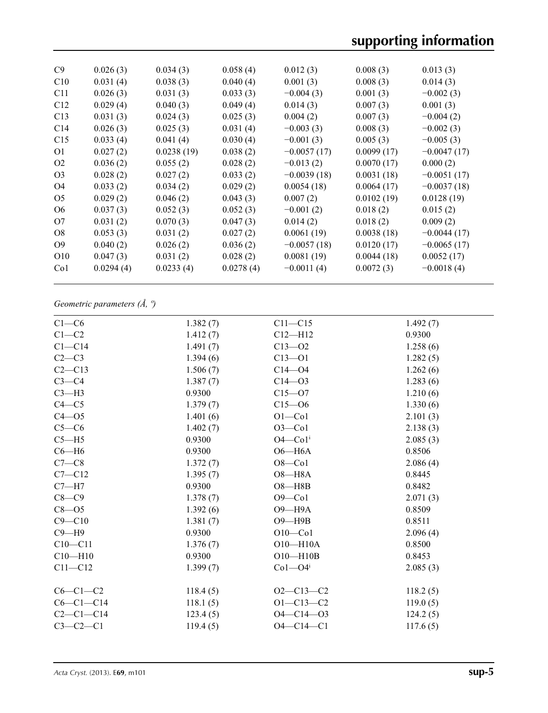| C9              | 0.026(3)  | 0.034(3)   | 0.058(4)  | 0.012(3)      | 0.008(3)   | 0.013(3)      |
|-----------------|-----------|------------|-----------|---------------|------------|---------------|
| C10             | 0.031(4)  | 0.038(3)   | 0.040(4)  | 0.001(3)      | 0.008(3)   | 0.014(3)      |
| C11             | 0.026(3)  | 0.031(3)   | 0.033(3)  | $-0.004(3)$   | 0.001(3)   | $-0.002(3)$   |
| C12             | 0.029(4)  | 0.040(3)   | 0.049(4)  | 0.014(3)      | 0.007(3)   | 0.001(3)      |
| C13             | 0.031(3)  | 0.024(3)   | 0.025(3)  | 0.004(2)      | 0.007(3)   | $-0.004(2)$   |
| C14             | 0.026(3)  | 0.025(3)   | 0.031(4)  | $-0.003(3)$   | 0.008(3)   | $-0.002(3)$   |
| C15             | 0.033(4)  | 0.041(4)   | 0.030(4)  | $-0.001(3)$   | 0.005(3)   | $-0.005(3)$   |
| O <sub>1</sub>  | 0.027(2)  | 0.0238(19) | 0.038(2)  | $-0.0057(17)$ | 0.0099(17) | $-0.0047(17)$ |
| O <sub>2</sub>  | 0.036(2)  | 0.055(2)   | 0.028(2)  | $-0.013(2)$   | 0.0070(17) | 0.000(2)      |
| O <sub>3</sub>  | 0.028(2)  | 0.027(2)   | 0.033(2)  | $-0.0039(18)$ | 0.0031(18) | $-0.0051(17)$ |
| O4              | 0.033(2)  | 0.034(2)   | 0.029(2)  | 0.0054(18)    | 0.0064(17) | $-0.0037(18)$ |
| O <sub>5</sub>  | 0.029(2)  | 0.046(2)   | 0.043(3)  | 0.007(2)      | 0.0102(19) | 0.0128(19)    |
| O <sub>6</sub>  | 0.037(3)  | 0.052(3)   | 0.052(3)  | $-0.001(2)$   | 0.018(2)   | 0.015(2)      |
| O7              | 0.031(2)  | 0.070(3)   | 0.047(3)  | 0.014(2)      | 0.018(2)   | 0.009(2)      |
| O8              | 0.053(3)  | 0.031(2)   | 0.027(2)  | 0.0061(19)    | 0.0038(18) | $-0.0044(17)$ |
| O <sub>9</sub>  | 0.040(2)  | 0.026(2)   | 0.036(2)  | $-0.0057(18)$ | 0.0120(17) | $-0.0065(17)$ |
| O <sub>10</sub> | 0.047(3)  | 0.031(2)   | 0.028(2)  | 0.0081(19)    | 0.0044(18) | 0.0052(17)    |
| Co <sub>1</sub> | 0.0294(4) | 0.0233(4)  | 0.0278(4) | $-0.0011(4)$  | 0.0072(3)  | $-0.0018(4)$  |
|                 |           |            |           |               |            |               |

## *Geometric parameters (Å, º)*

| $C1-C6$     | 1.382(7) | $C11 - C15$             | 1.492(7) |
|-------------|----------|-------------------------|----------|
| $C1-C2$     | 1.412(7) | $C12 - H12$             | 0.9300   |
| $C1 - C14$  | 1.491(7) | $C13 - 02$              | 1.258(6) |
| $C2-C3$     | 1.394(6) | $C13 - 01$              | 1.282(5) |
| $C2-C13$    | 1.506(7) | $C14 - 04$              | 1.262(6) |
| $C3-C4$     | 1.387(7) | $C14 - 03$              | 1.283(6) |
| $C3-H3$     | 0.9300   | $C15 - 07$              | 1.210(6) |
| $C4 - C5$   | 1.379(7) | $C15 - 06$              | 1.330(6) |
| $C4 - 05$   | 1.401(6) | $O1 - Co1$              | 2.101(3) |
| $C5-C6$     | 1.402(7) | $O3$ -Co1               | 2.138(3) |
| $C5 - H5$   | 0.9300   | $O4$ — $Co1i$           | 2.085(3) |
| $C6 - H6$   | 0.9300   | $O6 - H6A$              | 0.8506   |
| $C7-C8$     | 1.372(7) | $O8$ -Co1               | 2.086(4) |
| $C7 - C12$  | 1.395(7) | $O8 - H8A$              | 0.8445   |
| $C7 - H7$   | 0.9300   | $O8 - H8B$              | 0.8482   |
| $C8-C9$     | 1.378(7) | $O9$ —Co1               | 2.071(3) |
| $C8 - O5$   | 1.392(6) | $O9 - H9A$              | 0.8509   |
| $C9 - C10$  | 1.381(7) | $O9 - H9B$              | 0.8511   |
| $C9 - H9$   | 0.9300   | $O10$ -Co1              | 2.096(4) |
| $C10-C11$   | 1.376(7) | $O10 - H10A$            | 0.8500   |
| $C10 - H10$ | 0.9300   | $O10 - H10B$            | 0.8453   |
| $C11 - C12$ | 1.399(7) | $Co1 - O4$ <sup>i</sup> | 2.085(3) |
|             |          |                         |          |
| $C6-C1-C2$  | 118.4(5) | $O2 - C13 - C2$         | 118.2(5) |
| $C6-C1-C14$ | 118.1(5) | $O1 - C13 - C2$         | 119.0(5) |
| $C2-C1-C14$ | 123.4(5) | $O4 - C14 - O3$         | 124.2(5) |
| $C3-C2-C1$  | 119.4(5) | $O4 - C14 - C1$         | 117.6(5) |
|             |          |                         |          |